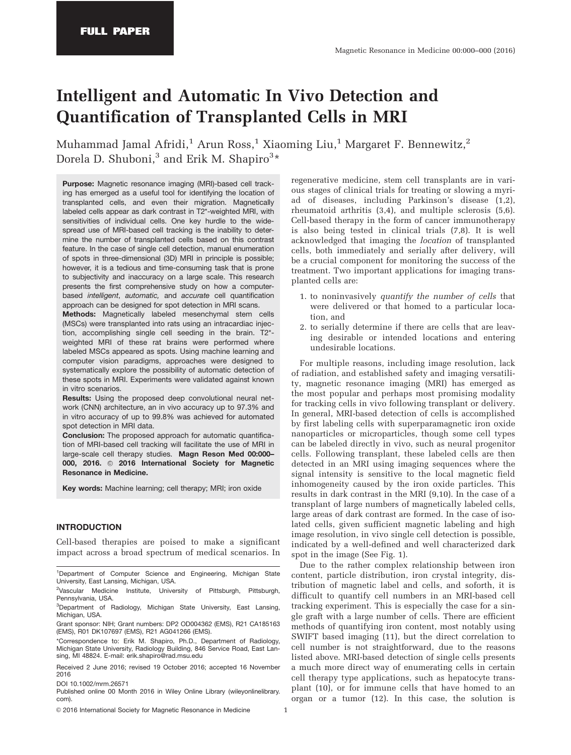# Intelligent and Automatic In Vivo Detection and Quantification of Transplanted Cells in MRI

Muhammad Jamal Afridi,<sup>1</sup> Arun Ross,<sup>1</sup> Xiaoming Liu,<sup>1</sup> Margaret F. Bennewitz,<sup>2</sup> Dorela D. Shuboni, $^3$  and Erik M. Shapiro $^3\text{*}$ 

Purpose: Magnetic resonance imaging (MRI)-based cell tracking has emerged as a useful tool for identifying the location of transplanted cells, and even their migration. Magnetically labeled cells appear as dark contrast in T2\*-weighted MRI, with sensitivities of individual cells. One key hurdle to the widespread use of MRI-based cell tracking is the inability to determine the number of transplanted cells based on this contrast feature. In the case of single cell detection, manual enumeration of spots in three-dimensional (3D) MRI in principle is possible; however, it is a tedious and time-consuming task that is prone to subjectivity and inaccuracy on a large scale. This research presents the first comprehensive study on how a computerbased intelligent, automatic, and accurate cell quantification approach can be designed for spot detection in MRI scans.

Methods: Magnetically labeled mesenchymal stem cells (MSCs) were transplanted into rats using an intracardiac injection, accomplishing single cell seeding in the brain. T2\* weighted MRI of these rat brains were performed where labeled MSCs appeared as spots. Using machine learning and computer vision paradigms, approaches were designed to systematically explore the possibility of automatic detection of these spots in MRI. Experiments were validated against known in vitro scenarios.

Results: Using the proposed deep convolutional neural network (CNN) architecture, an in vivo accuracy up to 97.3% and in vitro accuracy of up to 99.8% was achieved for automated spot detection in MRI data.

Conclusion: The proposed approach for automatic quantification of MRI-based cell tracking will facilitate the use of MRI in large-scale cell therapy studies. Magn Reson Med 00:000– 000, 2016. 2016 International Society for Magnetic Resonance in Medicine.

Key words: Machine learning; cell therapy; MRI; iron oxide

# **INTRODUCTION**

Cell-based therapies are poised to make a significant impact across a broad spectrum of medical scenarios. In

Grant sponsor: NIH; Grant numbers: DP2 OD004362 (EMS), R21 CA185163 (EMS), R01 DK107697 (EMS), R21 AG041266 (EMS).

\*Correspondence to: Erik M. Shapiro, Ph.D., Department of Radiology, Michigan State University, Radiology Building, 846 Service Road, East Lansing, MI 48824. E-mail: erik.shapiro@rad.msu.edu

Received 2 June 2016; revised 19 October 2016; accepted 16 November 2016

DOI 10.1002/mrm.26571

Published online 00 Month 2016 in Wiley Online Library (wileyonlinelibrary. com).

 $©$  2016 International Society for Magnetic Resonance in Medicine 1

regenerative medicine, stem cell transplants are in various stages of clinical trials for treating or slowing a myriad of diseases, including Parkinson's disease (1,2), rheumatoid arthritis (3,4), and multiple sclerosis (5,6). Cell-based therapy in the form of cancer immunotherapy is also being tested in clinical trials (7,8). It is well acknowledged that imaging the location of transplanted cells, both immediately and serially after delivery, will be a crucial component for monitoring the success of the treatment. Two important applications for imaging transplanted cells are:

- 1. to noninvasively quantify the number of cells that were delivered or that homed to a particular location, and
- 2. to serially determine if there are cells that are leaving desirable or intended locations and entering undesirable locations.

For multiple reasons, including image resolution, lack of radiation, and established safety and imaging versatility, magnetic resonance imaging (MRI) has emerged as the most popular and perhaps most promising modality for tracking cells in vivo following transplant or delivery. In general, MRI-based detection of cells is accomplished by first labeling cells with superparamagnetic iron oxide nanoparticles or microparticles, though some cell types can be labeled directly in vivo, such as neural progenitor cells. Following transplant, these labeled cells are then detected in an MRI using imaging sequences where the signal intensity is sensitive to the local magnetic field inhomogeneity caused by the iron oxide particles. This results in dark contrast in the MRI (9,10). In the case of a transplant of large numbers of magnetically labeled cells, large areas of dark contrast are formed. In the case of isolated cells, given sufficient magnetic labeling and high image resolution, in vivo single cell detection is possible, indicated by a well-defined and well characterized dark spot in the image (See Fig. 1).

Due to the rather complex relationship between iron content, particle distribution, iron crystal integrity, distribution of magnetic label and cells, and soforth, it is difficult to quantify cell numbers in an MRI-based cell tracking experiment. This is especially the case for a single graft with a large number of cells. There are efficient methods of quantifying iron content, most notably using SWIFT based imaging (11), but the direct correlation to cell number is not straightforward, due to the reasons listed above. MRI-based detection of single cells presents a much more direct way of enumerating cells in certain cell therapy type applications, such as hepatocyte transplant (10), or for immune cells that have homed to an organ or a tumor (12). In this case, the solution is

<sup>&</sup>lt;sup>1</sup>Department of Computer Science and Engineering, Michigan State University, East Lansing, Michigan, USA.

<sup>&</sup>lt;sup>2</sup>Vascular Medicine Institute, University of Pittsburgh, Pittsburgh, Pennsylvania, USA.

<sup>&</sup>lt;sup>3</sup>Department of Radiology, Michigan State University, East Lansing, Michigan, USA.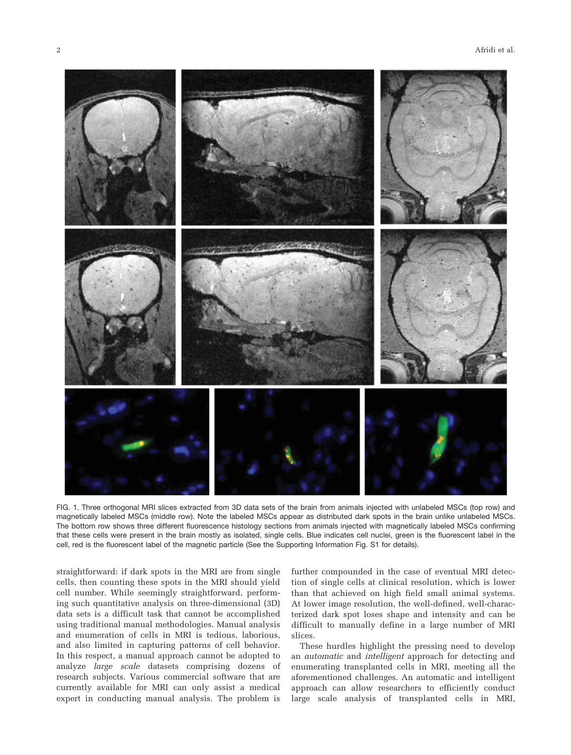

FIG. 1. Three orthogonal MRI slices extracted from 3D data sets of the brain from animals injected with unlabeled MSCs (top row) and magnetically labeled MSCs (middle row). Note the labeled MSCs appear as distributed dark spots in the brain unlike unlabeled MSCs. The bottom row shows three different fluorescence histology sections from animals injected with magnetically labeled MSCs confirming that these cells were present in the brain mostly as isolated, single cells. Blue indicates cell nuclei, green is the fluorescent label in the cell, red is the fluorescent label of the magnetic particle (See the Supporting Information Fig. S1 for details).

straightforward: if dark spots in the MRI are from single cells, then counting these spots in the MRI should yield cell number. While seemingly straightforward, performing such quantitative analysis on three-dimensional (3D) data sets is a difficult task that cannot be accomplished using traditional manual methodologies. Manual analysis and enumeration of cells in MRI is tedious, laborious, and also limited in capturing patterns of cell behavior. In this respect, a manual approach cannot be adopted to analyze large scale datasets comprising dozens of research subjects. Various commercial software that are currently available for MRI can only assist a medical expert in conducting manual analysis. The problem is further compounded in the case of eventual MRI detection of single cells at clinical resolution, which is lower than that achieved on high field small animal systems. At lower image resolution, the well-defined, well-characterized dark spot loses shape and intensity and can be difficult to manually define in a large number of MRI slices.

These hurdles highlight the pressing need to develop an automatic and intelligent approach for detecting and enumerating transplanted cells in MRI, meeting all the aforementioned challenges. An automatic and intelligent approach can allow researchers to efficiently conduct large scale analysis of transplanted cells in MRI,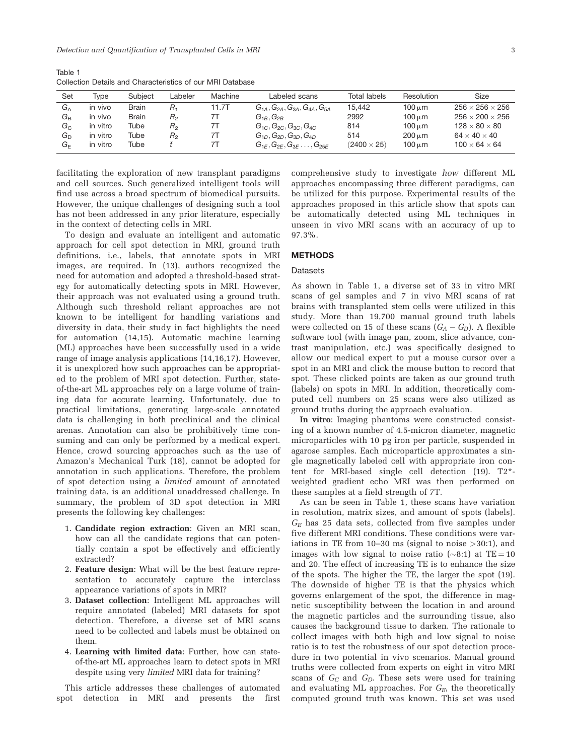Table 1 Collection Details and Characteristics of our MRI Database

| Set         | Type     | Subiect      | Labeler | Machine | Labeled scans                                        | Total labels       | Resolution  | Size                        |
|-------------|----------|--------------|---------|---------|------------------------------------------------------|--------------------|-------------|-----------------------------|
| $G_A$       | in vivo  | <b>Brain</b> | R,      | 11.7T   | $G_{1A}$ , $G_{2A}$ , $G_{3A}$ , $G_{4A}$ , $G_{5A}$ | 15.442             | 100 սա      | $256 \times 256 \times 256$ |
| $G_{\rm B}$ | in vivo  | <b>Brain</b> | R2      |         | $G_{1B}$ , $G_{2B}$                                  | 2992               | $100 \mu m$ | $256 \times 200 \times 256$ |
| $G_{\rm C}$ | in vitro | Tube         | R,      |         | $G_{1C}$ , $G_{2C}$ , $G_{3C}$ , $G_{4C}$            | 814                | 100 սա      | $128 \times 80 \times 80$   |
| $G_{\rm D}$ | in vitro | Tube         | R,      |         | $G_{1D}$ , $G_{2D}$ , $G_{3D}$ , $G_{4D}$            | 514                | $200 \mu m$ | $64 \times 40 \times 40$    |
| GF          | in vitro | Tube         |         |         | $G_{1E}, G_{2E}, G_{3E}, \ldots, G_{25E}$            | $(2400 \times 25)$ | $100 \mu m$ | $100 \times 64 \times 64$   |

facilitating the exploration of new transplant paradigms and cell sources. Such generalized intelligent tools will find use across a broad spectrum of biomedical pursuits. However, the unique challenges of designing such a tool has not been addressed in any prior literature, especially in the context of detecting cells in MRI.

To design and evaluate an intelligent and automatic approach for cell spot detection in MRI, ground truth definitions, i.e., labels, that annotate spots in MRI images, are required. In (13), authors recognized the need for automation and adopted a threshold-based strategy for automatically detecting spots in MRI. However, their approach was not evaluated using a ground truth. Although such threshold reliant approaches are not known to be intelligent for handling variations and diversity in data, their study in fact highlights the need for automation (14,15). Automatic machine learning (ML) approaches have been successfully used in a wide range of image analysis applications (14,16,17). However, it is unexplored how such approaches can be appropriated to the problem of MRI spot detection. Further, stateof-the-art ML approaches rely on a large volume of training data for accurate learning. Unfortunately, due to practical limitations, generating large-scale annotated data is challenging in both preclinical and the clinical arenas. Annotation can also be prohibitively time consuming and can only be performed by a medical expert. Hence, crowd sourcing approaches such as the use of Amazon's Mechanical Turk (18), cannot be adopted for annotation in such applications. Therefore, the problem of spot detection using a limited amount of annotated training data, is an additional unaddressed challenge. In summary, the problem of 3D spot detection in MRI presents the following key challenges:

- 1. Candidate region extraction: Given an MRI scan, how can all the candidate regions that can potentially contain a spot be effectively and efficiently extracted?
- 2. Feature design: What will be the best feature representation to accurately capture the interclass appearance variations of spots in MRI?
- 3. Dataset collection: Intelligent ML approaches will require annotated (labeled) MRI datasets for spot detection. Therefore, a diverse set of MRI scans need to be collected and labels must be obtained on them.
- 4. Learning with limited data: Further, how can stateof-the-art ML approaches learn to detect spots in MRI despite using very limited MRI data for training?

This article addresses these challenges of automated spot detection in MRI and presents the first comprehensive study to investigate how different ML approaches encompassing three different paradigms, can be utilized for this purpose. Experimental results of the approaches proposed in this article show that spots can be automatically detected using ML techniques in unseen in vivo MRI scans with an accuracy of up to 97.3%.

## METHODS

#### **Datasets**

As shown in Table 1, a diverse set of 33 in vitro MRI scans of gel samples and 7 in vivo MRI scans of rat brains with transplanted stem cells were utilized in this study. More than 19,700 manual ground truth labels were collected on 15 of these scans ( $G_A - G_D$ ). A flexible software tool (with image pan, zoom, slice advance, contrast manipulation, etc.) was specifically designed to allow our medical expert to put a mouse cursor over a spot in an MRI and click the mouse button to record that spot. These clicked points are taken as our ground truth (labels) on spots in MRI. In addition, theoretically computed cell numbers on 25 scans were also utilized as ground truths during the approach evaluation.

In vitro: Imaging phantoms were constructed consisting of a known number of 4.5-micron diameter, magnetic microparticles with 10 pg iron per particle, suspended in agarose samples. Each microparticle approximates a single magnetically labeled cell with appropriate iron content for MRI-based single cell detection (19). T2\* weighted gradient echo MRI was then performed on these samples at a field strength of 7T.

As can be seen in Table 1, these scans have variation in resolution, matrix sizes, and amount of spots (labels).  $G_E$  has 25 data sets, collected from five samples under five different MRI conditions. These conditions were variations in TE from 10–30 ms (signal to noise >30:1), and images with low signal to noise ratio  $(\sim 8:1)$  at TE = 10 and 20. The effect of increasing TE is to enhance the size of the spots. The higher the TE, the larger the spot (19). The downside of higher TE is that the physics which governs enlargement of the spot, the difference in magnetic susceptibility between the location in and around the magnetic particles and the surrounding tissue, also causes the background tissue to darken. The rationale to collect images with both high and low signal to noise ratio is to test the robustness of our spot detection procedure in two potential in vivo scenarios. Manual ground truths were collected from experts on eight in vitro MRI scans of  $G_C$  and  $G_D$ . These sets were used for training and evaluating ML approaches. For  $G_E$ , the theoretically computed ground truth was known. This set was used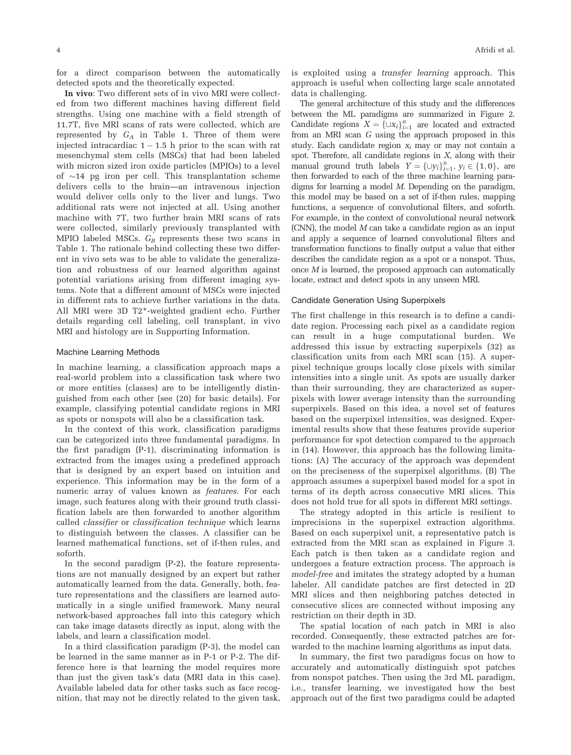for a direct comparison between the automatically detected spots and the theoretically expected.

In vivo: Two different sets of in vivo MRI were collected from two different machines having different field strengths. Using one machine with a field strength of 11.7T, five MRI scans of rats were collected, which are represented by  $G_A$  in Table 1. Three of them were injected intracardiac  $1 - 1.5$  h prior to the scan with rat mesenchymal stem cells (MSCs) that had been labeled with micron sized iron oxide particles (MPIOs) to a level of  $\sim$ 14 pg iron per cell. This transplantation scheme delivers cells to the brain—an intravenous injection would deliver cells only to the liver and lungs. Two additional rats were not injected at all. Using another machine with 7T, two further brain MRI scans of rats were collected, similarly previously transplanted with MPIO labeled MSCs.  $G_B$  represents these two scans in Table 1. The rationale behind collecting these two different in vivo sets was to be able to validate the generalization and robustness of our learned algorithm against potential variations arising from different imaging systems. Note that a different amount of MSCs were injected in different rats to achieve further variations in the data. All MRI were 3D T2\*-weighted gradient echo. Further details regarding cell labeling, cell transplant, in vivo MRI and histology are in Supporting Information.

## Machine Learning Methods

In machine learning, a classification approach maps a real-world problem into a classification task where two or more entities (classes) are to be intelligently distinguished from each other (see (20) for basic details). For example, classifying potential candidate regions in MRI as spots or nonspots will also be a classification task.

In the context of this work, classification paradigms can be categorized into three fundamental paradigms. In the first paradigm (P-1), discriminating information is extracted from the images using a predefined approach that is designed by an expert based on intuition and experience. This information may be in the form of a numeric array of values known as features. For each image, such features along with their ground truth classification labels are then forwarded to another algorithm called classifier or classification technique which learns to distinguish between the classes. A classifier can be learned mathematical functions, set of if-then rules, and soforth.

In the second paradigm (P-2), the feature representations are not manually designed by an expert but rather automatically learned from the data. Generally, both, feature representations and the classifiers are learned automatically in a single unified framework. Many neural network-based approaches fall into this category which can take image datasets directly as input, along with the labels, and learn a classification model.

In a third classification paradigm (P-3), the model can be learned in the same manner as in P-1 or P-2. The difference here is that learning the model requires more than just the given task's data (MRI data in this case). Available labeled data for other tasks such as face recognition, that may not be directly related to the given task,

is exploited using a transfer learning approach. This approach is useful when collecting large scale annotated data is challenging.

The general architecture of this study and the differences between the ML paradigms are summarized in Figure 2. Candidate regions  $X = {\bigcup_{i=1}^{n} a_i}$  are located and extracted from an MRI scan G using the approach proposed in this study. Each candidate region  $x_i$  may or may not contain a spot. Therefore, all candidate regions in  $X$ , along with their manual ground truth labels  $Y = {\{\cup y_i\}}_{i=1}^n$ ,  $y_i \in {\{1,0\}}$ , are then forwarded to each of the three machine learning paradigms for learning a model M. Depending on the paradigm, this model may be based on a set of if-then rules, mapping functions, a sequence of convolutional filters, and soforth. For example, in the context of convolutional neural network (CNN), the model M can take a candidate region as an input and apply a sequence of learned convolutional filters and transformation functions to finally output a value that either describes the candidate region as a spot or a nonspot. Thus, once M is learned, the proposed approach can automatically locate, extract and detect spots in any unseen MRI.

## Candidate Generation Using Superpixels

The first challenge in this research is to define a candidate region. Processing each pixel as a candidate region can result in a huge computational burden. We addressed this issue by extracting superpixels (32) as classification units from each MRI scan (15). A superpixel technique groups locally close pixels with similar intensities into a single unit. As spots are usually darker than their surrounding, they are characterized as superpixels with lower average intensity than the surrounding superpixels. Based on this idea, a novel set of features based on the superpixel intensities, was designed. Experimental results show that these features provide superior performance for spot detection compared to the approach in (14). However, this approach has the following limitations: (A) The accuracy of the approach was dependent on the preciseness of the superpixel algorithms. (B) The approach assumes a superpixel based model for a spot in terms of its depth across consecutive MRI slices. This does not hold true for all spots in different MRI settings.

The strategy adopted in this article is resilient to imprecisions in the superpixel extraction algorithms. Based on each superpixel unit, a representative patch is extracted from the MRI scan as explained in Figure 3. Each patch is then taken as a candidate region and undergoes a feature extraction process. The approach is model-free and imitates the strategy adopted by a human labeler. All candidate patches are first detected in 2D MRI slices and then neighboring patches detected in consecutive slices are connected without imposing any restriction on their depth in 3D.

The spatial location of each patch in MRI is also recorded. Consequently, these extracted patches are forwarded to the machine learning algorithms as input data.

In summary, the first two paradigms focus on how to accurately and automatically distinguish spot patches from nonspot patches. Then using the 3rd ML paradigm, i.e., transfer learning, we investigated how the best approach out of the first two paradigms could be adapted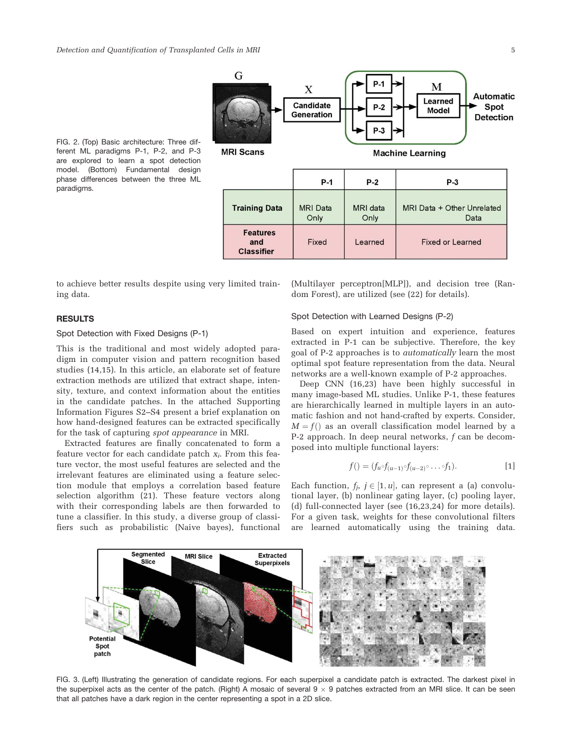

MRI data

Only

Learned

**MRI Data** 

Only

Fixed

**Training Data** 

**Features** 

and

**Classifier** 

FIG. 2. (Top) Basic architecture: Three different ML paradigms P-1, P-2, and P-3 are explored to learn a spot detection model. (Bottom) Fundamental design phase differences between the three ML paradigms.

to achieve better results despite using very limited training data.

## RESULTS

# Spot Detection with Fixed Designs (P-1)

This is the traditional and most widely adopted paradigm in computer vision and pattern recognition based studies (14,15). In this article, an elaborate set of feature extraction methods are utilized that extract shape, intensity, texture, and context information about the entities in the candidate patches. In the attached Supporting Information Figures S2–S4 present a brief explanation on how hand-designed features can be extracted specifically for the task of capturing spot appearance in MRI.

Extracted features are finally concatenated to form a feature vector for each candidate patch  $x_i$ . From this feature vector, the most useful features are selected and the irrelevant features are eliminated using a feature selection module that employs a correlation based feature selection algorithm (21). These feature vectors along with their corresponding labels are then forwarded to tune a classifier. In this study, a diverse group of classifiers such as probabilistic (Naive bayes), functional

(Multilayer perceptron[MLP]), and decision tree (Random Forest), are utilized (see (22) for details).

MRI Data + Other Unrelated

**Fixed or Learned** 

Data

#### Spot Detection with Learned Designs (P-2)

Based on expert intuition and experience, features extracted in P-1 can be subjective. Therefore, the key goal of P-2 approaches is to automatically learn the most optimal spot feature representation from the data. Neural networks are a well-known example of P-2 approaches.

Deep CNN (16,23) have been highly successful in many image-based ML studies. Unlike P-1, these features are hierarchically learned in multiple layers in an automatic fashion and not hand-crafted by experts. Consider,  $M = f$ () as an overall classification model learned by a P-2 approach. In deep neural networks, f can be decomposed into multiple functional layers:

$$
f() = (f_u \circ f_{(u-1)} \circ f_{(u-2)} \circ \dots \circ f_1). \tag{1}
$$

Each function,  $f_j$ ,  $j \in [1, u]$ , can represent a (a) convolutional layer, (b) nonlinear gating layer, (c) pooling layer, (d) full-connected layer (see (16,23,24) for more details). For a given task, weights for these convolutional filters are learned automatically using the training data.



FIG. 3. (Left) Illustrating the generation of candidate regions. For each superpixel a candidate patch is extracted. The darkest pixel in the superpixel acts as the center of the patch. (Right) A mosaic of several  $9 \times 9$  patches extracted from an MRI slice. It can be seen that all patches have a dark region in the center representing a spot in a 2D slice.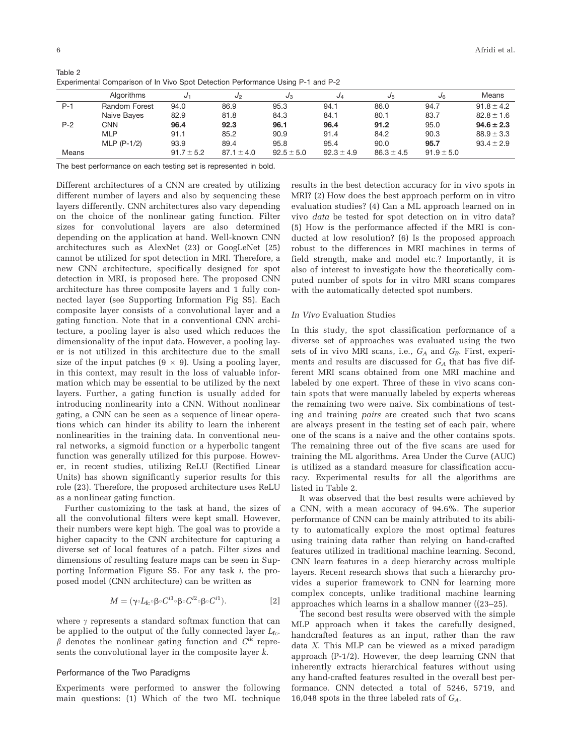|       | Algorithms    | بى             | ປາ             | ്ദ             | JΔ             | U5             | υR             | Means          |
|-------|---------------|----------------|----------------|----------------|----------------|----------------|----------------|----------------|
| $P-1$ | Random Forest | 94.0           | 86.9           | 95.3           | 94.1           | 86.0           | 94.7           | $91.8 + 4.2$   |
|       | Naive Bayes   | 82.9           | 81.8           | 84.3           | 84.1           | 80.1           | 83.7           | $82.8 \pm 1.6$ |
| $P-2$ | CNN           | 96.4           | 92.3           | 96.1           | 96.4           | 91.2           | 95.0           | $94.6 \pm 2.3$ |
|       | <b>MLP</b>    | 91.1           | 85.2           | 90.9           | 91.4           | 84.2           | 90.3           | $88.9 \pm 3.3$ |
|       | MLP (P-1/2)   | 93.9           | 89.4           | 95.8           | 95.4           | 90.0           | 95.7           | $93.4 \pm 2.9$ |
| Means |               | $91.7 \pm 5.2$ | $87.1 \pm 4.0$ | $92.5 \pm 5.0$ | $92.3 \pm 4.9$ | $86.3 \pm 4.5$ | $91.9 \pm 5.0$ |                |

Table 2 Experimental Comparison of In Vivo Spot Detection Performance Using P-1 and P-2

The best performance on each testing set is represented in bold.

Different architectures of a CNN are created by utilizing different number of layers and also by sequencing these layers differently. CNN architectures also vary depending on the choice of the nonlinear gating function. Filter sizes for convolutional layers are also determined depending on the application at hand. Well-known CNN architectures such as AlexNet (23) or GoogLeNet (25) cannot be utilized for spot detection in MRI. Therefore, a new CNN architecture, specifically designed for spot detection in MRI, is proposed here. The proposed CNN architecture has three composite layers and 1 fully connected layer (see Supporting Information Fig S5). Each composite layer consists of a convolutional layer and a gating function. Note that in a conventional CNN architecture, a pooling layer is also used which reduces the dimensionality of the input data. However, a pooling layer is not utilized in this architecture due to the small size of the input patches  $(9 \times 9)$ . Using a pooling layer, in this context, may result in the loss of valuable information which may be essential to be utilized by the next layers. Further, a gating function is usually added for introducing nonlinearity into a CNN. Without nonlinear gating, a CNN can be seen as a sequence of linear operations which can hinder its ability to learn the inherent nonlinearities in the training data. In conventional neural networks, a sigmoid function or a hyperbolic tangent function was generally utilized for this purpose. However, in recent studies, utilizing ReLU (Rectified Linear Units) has shown significantly superior results for this role (23). Therefore, the proposed architecture uses ReLU as a nonlinear gating function.

Further customizing to the task at hand, the sizes of all the convolutional filters were kept small. However, their numbers were kept high. The goal was to provide a higher capacity to the CNN architecture for capturing a diverse set of local features of a patch. Filter sizes and dimensions of resulting feature maps can be seen in Supporting Information Figure S5. For any task i, the proposed model (CNN architecture) can be written as

$$
M = (\gamma \circ L_{\text{fc}} \circ \beta \circ C^{i3} \circ \beta \circ C^{i2} \circ \beta \circ C^{i1}). \tag{2}
$$

where  $\gamma$  represents a standard softmax function that can be applied to the output of the fully connected layer  $L_{\text{fc}}$ .  $\beta$  denotes the nonlinear gating function and  $C^{ik}$  represents the convolutional layer in the composite layer k.

## Performance of the Two Paradigms

Experiments were performed to answer the following main questions: (1) Which of the two ML technique results in the best detection accuracy for in vivo spots in MRI? (2) How does the best approach perform on in vitro evaluation studies? (4) Can a ML approach learned on in vivo data be tested for spot detection on in vitro data? (5) How is the performance affected if the MRI is conducted at low resolution? (6) Is the proposed approach robust to the differences in MRI machines in terms of field strength, make and model etc.? Importantly, it is also of interest to investigate how the theoretically computed number of spots for in vitro MRI scans compares with the automatically detected spot numbers.

## In Vivo Evaluation Studies

In this study, the spot classification performance of a diverse set of approaches was evaluated using the two sets of in vivo MRI scans, i.e.,  $G_A$  and  $G_B$ . First, experiments and results are discussed for  $G_A$  that has five different MRI scans obtained from one MRI machine and labeled by one expert. Three of these in vivo scans contain spots that were manually labeled by experts whereas the remaining two were naive. Six combinations of testing and training pairs are created such that two scans are always present in the testing set of each pair, where one of the scans is a naive and the other contains spots. The remaining three out of the five scans are used for training the ML algorithms. Area Under the Curve (AUC) is utilized as a standard measure for classification accuracy. Experimental results for all the algorithms are listed in Table 2.

It was observed that the best results were achieved by a CNN, with a mean accuracy of 94.6%. The superior performance of CNN can be mainly attributed to its ability to automatically explore the most optimal features using training data rather than relying on hand-crafted features utilized in traditional machine learning. Second, CNN learn features in a deep hierarchy across multiple layers. Recent research shows that such a hierarchy provides a superior framework to CNN for learning more complex concepts, unlike traditional machine learning approaches which learns in a shallow manner ((23–25).

The second best results were observed with the simple MLP approach when it takes the carefully designed, handcrafted features as an input, rather than the raw data X. This MLP can be viewed as a mixed paradigm approach (P-1/2). However, the deep learning CNN that inherently extracts hierarchical features without using any hand-crafted features resulted in the overall best performance. CNN detected a total of 5246, 5719, and 16,048 spots in the three labeled rats of  $G_A$ .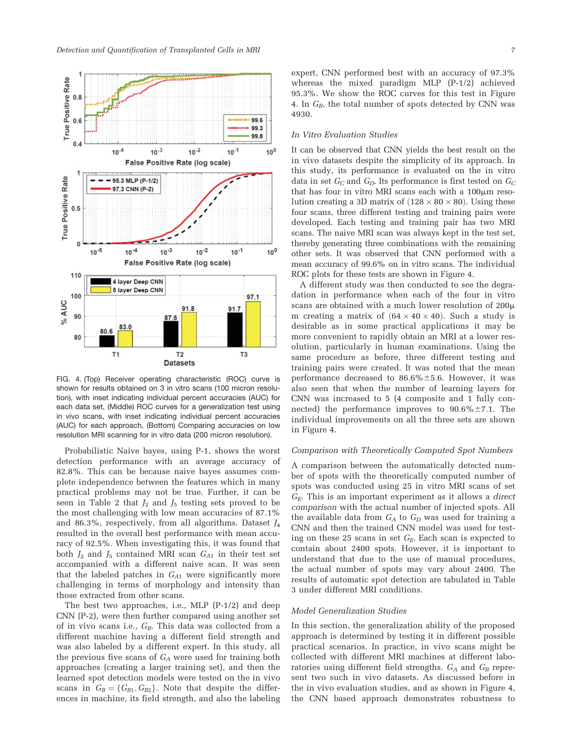

FIG. 4. (Top) Receiver operating characteristic (ROC) curve is shown for results obtained on 3 in vitro scans (100 micron resolution), with inset indicating individual percent accuracies (AUC) for each data set, (Middle) ROC curves for a generalization test using in vivo scans, with inset indicating individual percent accuracies (AUC) for each approach, (Bottom) Comparing accuracies on low resolution MRI scanning for in vitro data (200 micron resolution).

Probabilistic Naive bayes, using P-1, shows the worst detection performance with an average accuracy of 82.8%. This can be because naive bayes assumes complete independence between the features which in many practical problems may not be true. Further, it can be seen in Table 2 that  $J_2$  and  $J_5$  testing sets proved to be the most challenging with low mean accuracies of 87.1% and 86.3%, respectively, from all algorithms. Dataset  $J_4$ resulted in the overall best performance with mean accuracy of 92.5%. When investigating this, it was found that both  $J_2$  and  $J_5$  contained MRI scan  $G_{A1}$  in their test set accompanied with a different naive scan. It was seen that the labeled patches in  $G_{A1}$  were significantly more challenging in terms of morphology and intensity than those extracted from other scans.

The best two approaches, i.e., MLP (P-1/2) and deep CNN (P-2), were then further compared using another set of in vivo scans i.e.,  $G_B$ . This data was collected from a different machine having a different field strength and was also labeled by a different expert. In this study, all the previous five scans of  $G_A$  were used for training both approaches (creating a larger training set), and then the learned spot detection models were tested on the in vivo scans in  $G_B = \{G_{B1}, G_{B2}\}\.$  Note that despite the differences in machine, its field strength, and also the labeling

#### In Vitro Evaluation Studies

It can be observed that CNN yields the best result on the in vivo datasets despite the simplicity of its approach. In this study, its performance is evaluated on the in vitro data in set  $G_C$  and  $G_D$ . Its performance is first tested on  $G_C$ that has four in vitro MRI scans each with a  $100 \mu m$  resolution creating a 3D matrix of  $(128 \times 80 \times 80)$ . Using these four scans, three different testing and training pairs were developed. Each testing and training pair has two MRI scans. The naive MRI scan was always kept in the test set, thereby generating three combinations with the remaining other sets. It was observed that CNN performed with a mean accuracy of 99.6% on in vitro scans. The individual ROC plots for these tests are shown in Figure 4.

A different study was then conducted to see the degradation in performance when each of the four in vitro scans are obtained with a much lower resolution of  $200\mu$ m creating a matrix of  $(64 \times 40 \times 40)$ . Such a study is desirable as in some practical applications it may be more convenient to rapidly obtain an MRI at a lower resolution, particularly in human examinations. Using the same procedure as before, three different testing and training pairs were created. It was noted that the mean performance decreased to  $86.6\% \pm 5.6$ . However, it was also seen that when the number of learning layers for CNN was increased to 5 (4 composite and 1 fully connected) the performance improves to  $90.6\% \pm 7.1$ . The individual improvements on all the three sets are shown in Figure 4.

## Comparison with Theoretically Computed Spot Numbers

A comparison between the automatically detected number of spots with the theoretically computed number of spots was conducted using 25 in vitro MRI scans of set  $G<sub>E</sub>$ . This is an important experiment as it allows a *direct* comparison with the actual number of injected spots. All the available data from  $G_A$  to  $G_D$  was used for training a CNN and then the trained CNN model was used for testing on these 25 scans in set  $G_F$ . Each scan is expected to contain about 2400 spots. However, it is important to understand that due to the use of manual procedures, the actual number of spots may vary about 2400. The results of automatic spot detection are tabulated in Table 3 under different MRI conditions.

#### Model Generalization Studies

In this section, the generalization ability of the proposed approach is determined by testing it in different possible practical scenarios. In practice, in vivo scans might be collected with different MRI machines at different laboratories using different field strengths.  $G_A$  and  $G_B$  represent two such in vivo datasets. As discussed before in the in vivo evaluation studies, and as shown in Figure 4, the CNN based approach demonstrates robustness to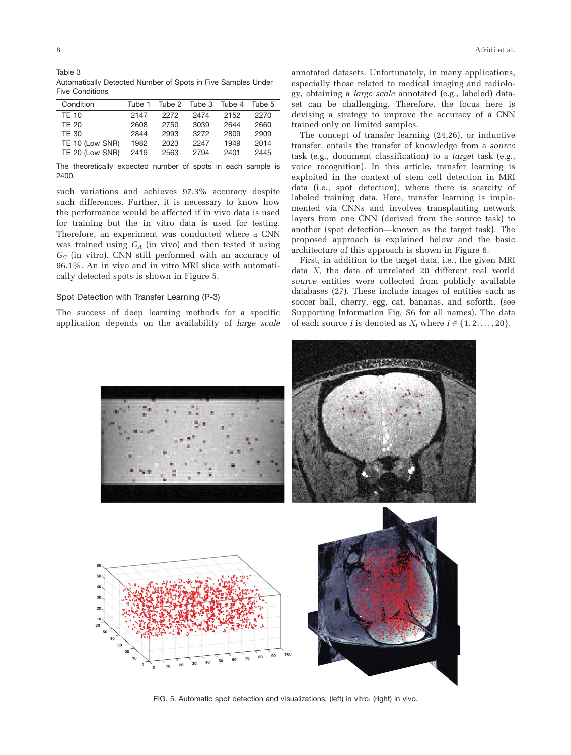Table 3 Automatically Detected Number of Spots in Five Samples Under Five Conditions

| Condition       | Tube 1 | Tube 2 | Tube 3 | Tube 4 | Tube 5 |
|-----------------|--------|--------|--------|--------|--------|
| <b>TE 10</b>    | 2147   | 2272   | 2474   | 2152   | 2270   |
| TF 20           | 2608   | 2750   | 3039   | 2644   | 2660   |
| <b>TE 30</b>    | 2844   | 2993   | 3272   | 2809   | 2909   |
| TE 10 (Low SNR) | 1982   | 2023   | 2247   | 1949   | 2014   |
| TE 20 (Low SNR) | 2419   | 2563   | 2794   | 2401   | 2445   |

The theoretically expected number of spots in each sample is 2400.

such variations and achieves 97.3% accuracy despite such differences. Further, it is necessary to know how the performance would be affected if in vivo data is used for training but the in vitro data is used for testing. Therefore, an experiment was conducted where a CNN was trained using  $G_A$  (in vivo) and then tested it using  $G_C$  (in vitro). CNN still performed with an accuracy of 96.1%. An in vivo and in vitro MRI slice with automatically detected spots is shown in Figure 5.

## Spot Detection with Transfer Learning (P-3)

The success of deep learning methods for a specific application depends on the availability of large scale annotated datasets. Unfortunately, in many applications, especially those related to medical imaging and radiology, obtaining a large scale annotated (e.g., labeled) dataset can be challenging. Therefore, the focus here is devising a strategy to improve the accuracy of a CNN trained only on limited samples.

The concept of transfer learning (24,26), or inductive transfer, entails the transfer of knowledge from a source task (e.g., document classification) to a target task (e.g., voice recognition). In this article, transfer learning is exploited in the context of stem cell detection in MRI data (i.e., spot detection), where there is scarcity of labeled training data. Here, transfer learning is implemented via CNNs and involves transplanting network layers from one CNN (derived from the source task) to another (spot detection—known as the target task). The proposed approach is explained below and the basic architecture of this approach is shown in Figure 6.

First, in addition to the target data, i.e., the given MRI data X, the data of unrelated 20 different real world source entities were collected from publicly available databases (27). These include images of entities such as soccer ball, cherry, egg, cat, bananas, and soforth. (see Supporting Information Fig. S6 for all names). The data of each source *i* is denoted as  $X_i$  where  $i \in \{1, 2, \ldots, 20\}.$ 



FIG. 5. Automatic spot detection and visualizations: (left) in vitro, (right) in vivo.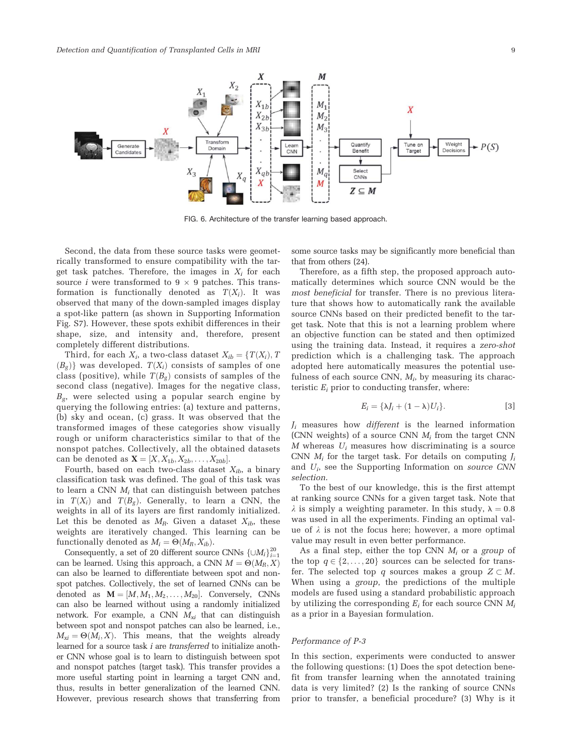

FIG. 6. Architecture of the transfer learning based approach.

Second, the data from these source tasks were geometrically transformed to ensure compatibility with the target task patches. Therefore, the images in  $X_i$  for each source *i* were transformed to  $9 \times 9$  patches. This transformation is functionally denoted as  $T(X_i)$ . It was observed that many of the down-sampled images display a spot-like pattern (as shown in Supporting Information Fig. S7). However, these spots exhibit differences in their shape, size, and intensity and, therefore, present completely different distributions.

Third, for each  $X_i$ , a two-class dataset  $X_{ib} = \{T(X_i), T\}$  $(B_g)$ } was developed.  $T(X_i)$  consists of samples of one class (positive), while  $T(B_g)$  consists of samples of the second class (negative). Images for the negative class,  $B<sub>g</sub>$ , were selected using a popular search engine by querying the following entries: (a) texture and patterns, (b) sky and ocean, (c) grass. It was observed that the transformed images of these categories show visually rough or uniform characteristics similar to that of the nonspot patches. Collectively, all the obtained datasets can be denoted as  $X = [X, X_{1b}, X_{2b}, \ldots, X_{20b}].$ 

Fourth, based on each two-class dataset  $X_{ib}$ , a binary classification task was defined. The goal of this task was to learn a CNN  $M_i$  that can distinguish between patches in  $T(X_i)$  and  $T(B_{\sigma})$ . Generally, to learn a CNN, the weights in all of its layers are first randomly initialized. Let this be denoted as  $M_R$ . Given a dataset  $X_{ib}$ , these weights are iteratively changed. This learning can be functionally denoted as  $M_i = \Theta(M_R, X_{ib}).$ 

Consequently, a set of 20 different source CNNs  $\{ \cup M_i \}_{i=1}^{20}$ can be learned. Using this approach, a CNN  $M = \Theta(M_R, X)$ can also be learned to differentiate between spot and nonspot patches. Collectively, the set of learned CNNs can be denoted as  $\mathbf{M} = [M, M_1, M_2, \dots, M_{20}]$ . Conversely, CNNs can also be learned without using a randomly initialized network. For example, a CNN  $M_{xi}$  that can distinguish between spot and nonspot patches can also be learned, i.e.,  $M_{xi} = \Theta(M_i, X)$ . This means, that the weights already learned for a source task i are transferred to initialize another CNN whose goal is to learn to distinguish between spot and nonspot patches (target task). This transfer provides a more useful starting point in learning a target CNN and, thus, results in better generalization of the learned CNN. However, previous research shows that transferring from some source tasks may be significantly more beneficial than that from others (24).

Therefore, as a fifth step, the proposed approach automatically determines which source CNN would be the most beneficial for transfer. There is no previous literature that shows how to automatically rank the available source CNNs based on their predicted benefit to the target task. Note that this is not a learning problem where an objective function can be stated and then optimized using the training data. Instead, it requires a zero-shot prediction which is a challenging task. The approach adopted here automatically measures the potential usefulness of each source CNN,  $M_i$ , by measuring its characteristic  $E_i$  prior to conducting transfer, where:

$$
E_i = \{\lambda J_i + (1 - \lambda)U_i\}.
$$
 [3]

 $J_i$  measures how *different* is the learned information (CNN weights) of a source CNN  $M_i$  from the target CNN  $M$  whereas  $U_i$  measures how discriminating is a source CNN  $M_i$  for the target task. For details on computing  $J_i$ and  $U_i$ , see the Supporting Information on source CNN selection.

To the best of our knowledge, this is the first attempt at ranking source CNNs for a given target task. Note that  $\lambda$  is simply a weighting parameter. In this study,  $\lambda = 0.8$ was used in all the experiments. Finding an optimal value of  $\lambda$  is not the focus here; however, a more optimal value may result in even better performance.

As a final step, either the top CNN  $M_i$  or a group of the top  $q \in \{2, \ldots, 20\}$  sources can be selected for transfer. The selected top q sources makes a group  $Z \subset M$ . When using a group, the predictions of the multiple models are fused using a standard probabilistic approach by utilizing the corresponding  $E_i$  for each source CNN  $M_i$ as a prior in a Bayesian formulation.

# Performance of P-3

In this section, experiments were conducted to answer the following questions: (1) Does the spot detection benefit from transfer learning when the annotated training data is very limited? (2) Is the ranking of source CNNs prior to transfer, a beneficial procedure? (3) Why is it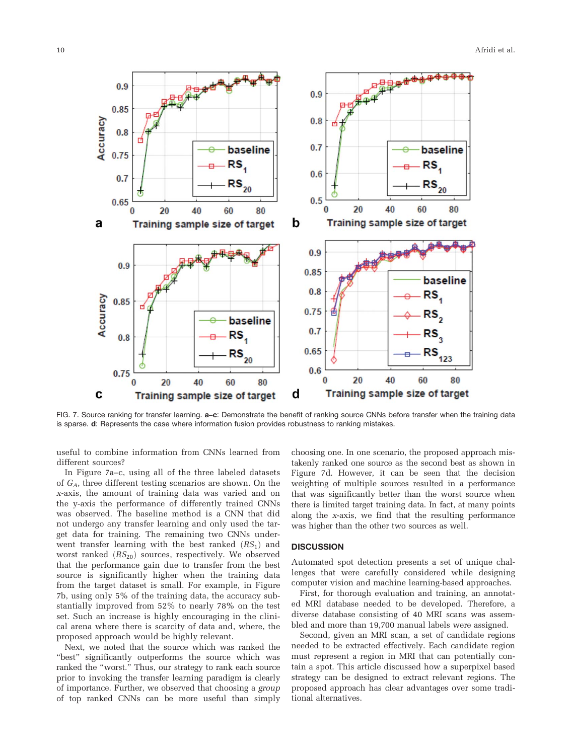

FIG. 7. Source ranking for transfer learning. a-c: Demonstrate the benefit of ranking source CNNs before transfer when the training data is sparse. d: Represents the case where information fusion provides robustness to ranking mistakes.

useful to combine information from CNNs learned from different sources?

In Figure 7a–c, using all of the three labeled datasets of  $G_A$ , three different testing scenarios are shown. On the x-axis, the amount of training data was varied and on the y-axis the performance of differently trained CNNs was observed. The baseline method is a CNN that did not undergo any transfer learning and only used the target data for training. The remaining two CNNs underwent transfer learning with the best ranked  $(RS_1)$  and worst ranked  $(RS_{20})$  sources, respectively. We observed that the performance gain due to transfer from the best source is significantly higher when the training data from the target dataset is small. For example, in Figure 7b, using only 5% of the training data, the accuracy substantially improved from 52% to nearly 78% on the test set. Such an increase is highly encouraging in the clinical arena where there is scarcity of data and, where, the proposed approach would be highly relevant.

Next, we noted that the source which was ranked the "best" significantly outperforms the source which was ranked the "worst." Thus, our strategy to rank each source prior to invoking the transfer learning paradigm is clearly of importance. Further, we observed that choosing a group of top ranked CNNs can be more useful than simply

choosing one. In one scenario, the proposed approach mistakenly ranked one source as the second best as shown in Figure 7d. However, it can be seen that the decision weighting of multiple sources resulted in a performance that was significantly better than the worst source when there is limited target training data. In fact, at many points along the x-axis, we find that the resulting performance was higher than the other two sources as well.

## **DISCUSSION**

Automated spot detection presents a set of unique challenges that were carefully considered while designing computer vision and machine learning-based approaches.

First, for thorough evaluation and training, an annotated MRI database needed to be developed. Therefore, a diverse database consisting of 40 MRI scans was assembled and more than 19,700 manual labels were assigned.

Second, given an MRI scan, a set of candidate regions needed to be extracted effectively. Each candidate region must represent a region in MRI that can potentially contain a spot. This article discussed how a superpixel based strategy can be designed to extract relevant regions. The proposed approach has clear advantages over some traditional alternatives.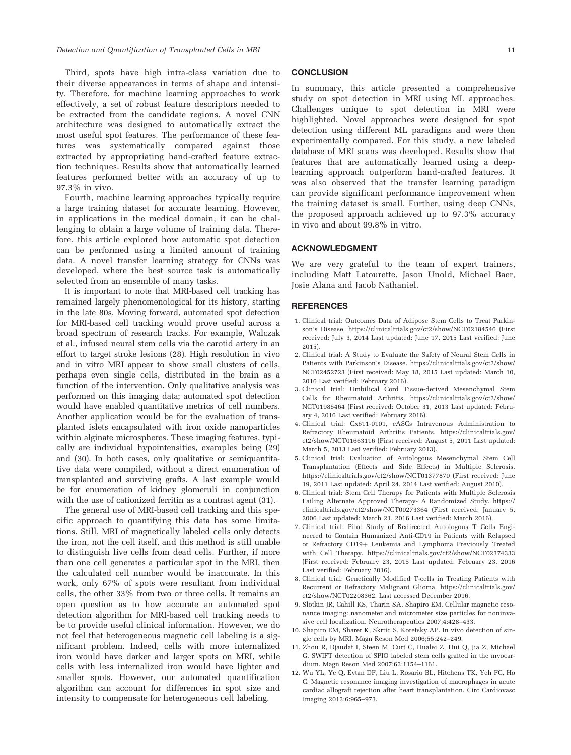Third, spots have high intra-class variation due to their diverse appearances in terms of shape and intensity. Therefore, for machine learning approaches to work effectively, a set of robust feature descriptors needed to be extracted from the candidate regions. A novel CNN architecture was designed to automatically extract the most useful spot features. The performance of these features was systematically compared against those extracted by appropriating hand-crafted feature extraction techniques. Results show that automatically learned features performed better with an accuracy of up to 97.3% in vivo.

Fourth, machine learning approaches typically require a large training dataset for accurate learning. However, in applications in the medical domain, it can be challenging to obtain a large volume of training data. Therefore, this article explored how automatic spot detection can be performed using a limited amount of training data. A novel transfer learning strategy for CNNs was developed, where the best source task is automatically selected from an ensemble of many tasks.

It is important to note that MRI-based cell tracking has remained largely phenomenological for its history, starting in the late 80s. Moving forward, automated spot detection for MRI-based cell tracking would prove useful across a broad spectrum of research tracks. For example, Walczak et al., infused neural stem cells via the carotid artery in an effort to target stroke lesions (28). High resolution in vivo and in vitro MRI appear to show small clusters of cells, perhaps even single cells, distributed in the brain as a function of the intervention. Only qualitative analysis was performed on this imaging data; automated spot detection would have enabled quantitative metrics of cell numbers. Another application would be for the evaluation of transplanted islets encapsulated with iron oxide nanoparticles within alginate microspheres. These imaging features, typically are individual hypointensities, examples being (29) and (30). In both cases, only qualitative or semiquantitative data were compiled, without a direct enumeration of transplanted and surviving grafts. A last example would be for enumeration of kidney glomeruli in conjunction with the use of cationized ferritin as a contrast agent  $(31)$ .

The general use of MRI-based cell tracking and this specific approach to quantifying this data has some limitations. Still, MRI of magnetically labeled cells only detects the iron, not the cell itself, and this method is still unable to distinguish live cells from dead cells. Further, if more than one cell generates a particular spot in the MRI, then the calculated cell number would be inaccurate. In this work, only 67% of spots were resultant from individual cells, the other 33% from two or three cells. It remains an open question as to how accurate an automated spot detection algorithm for MRI-based cell tracking needs to be to provide useful clinical information. However, we do not feel that heterogeneous magnetic cell labeling is a significant problem. Indeed, cells with more internalized iron would have darker and larger spots on MRI, while cells with less internalized iron would have lighter and smaller spots. However, our automated quantification algorithm can account for differences in spot size and intensity to compensate for heterogeneous cell labeling.

## **CONCLUSION**

In summary, this article presented a comprehensive study on spot detection in MRI using ML approaches. Challenges unique to spot detection in MRI were highlighted. Novel approaches were designed for spot detection using different ML paradigms and were then experimentally compared. For this study, a new labeled database of MRI scans was developed. Results show that features that are automatically learned using a deeplearning approach outperform hand-crafted features. It was also observed that the transfer learning paradigm can provide significant performance improvement when the training dataset is small. Further, using deep CNNs, the proposed approach achieved up to 97.3% accuracy in vivo and about 99.8% in vitro.

#### ACKNOWLEDGMENT

We are very grateful to the team of expert trainers, including Matt Latourette, Jason Unold, Michael Baer, Josie Alana and Jacob Nathaniel.

### REFERENCES

- 1. Clinical trial: Outcomes Data of Adipose Stem Cells to Treat Parkinson's Disease. [https://clinicaltrials.gov/ct2/show/NCT02184546](http://https://clinicaltrials.gov/ct2/show/NCT02184546) (First received: July 3, 2014 Last updated: June 17, 2015 Last verified: June 2015).
- 2. Clinical trial: A Study to Evaluate the Safety of Neural Stem Cells in Patients with Parkinson's Disease. [https://clinicaltrials.gov/ct2/show/](http://https://clinicaltrials.gov/ct2/show/NCT02452723) [NCT02452723](http://https://clinicaltrials.gov/ct2/show/NCT02452723) (First received: May 18, 2015 Last updated: March 10, 2016 Last verified: February 2016).
- 3. Clinical trial: Umbilical Cord Tissue-derived Mesenchymal Stem Cells for Rheumatoid Arthritis. [https://clinicaltrials.gov/ct2/show/](http://https://clinicaltrials.gov/ct2/show/NCT01985464) [NCT01985464](http://https://clinicaltrials.gov/ct2/show/NCT01985464) (First received: October 31, 2013 Last updated: February 4, 2016 Last verified: February 2016).
- 4. Clinical trial: Cx611-0101, eASCs Intravenous Administration to Refractory Rheumatoid Arthritis Patients. [https://clinicaltrials.gov/](http://https://clinicaltrials.gov/ct2/show/NCT01663116) [ct2/show/NCT01663116](http://https://clinicaltrials.gov/ct2/show/NCT01663116) (First received: August 5, 2011 Last updated: March 5, 2013 Last verified: February 2013).
- 5. Clinical trial: Evaluation of Autologous Mesenchymal Stem Cell Transplantation (Effects and Side Effects) in Multiple Sclerosis. [https://clinicaltrials.gov/ct2/show/NCT01377870](http://https://clinicaltrials.gov/ct2/show/NCT01377870) (First received: June 19, 2011 Last updated: April 24, 2014 Last verified: August 2010).
- 6. Clinical trial: Stem Cell Therapy for Patients with Multiple Sclerosis Failing Alternate Approved Therapy- A Randomized Study. [https://](http://https://clinicaltrials.gov/ct2/show/NCT00273364) [clinicaltrials.gov/ct2/show/NCT00273364](http://https://clinicaltrials.gov/ct2/show/NCT00273364) (First received: January 5, 2006 Last updated: March 21, 2016 Last verified: March 2016).
- 7. Clinical trial: Pilot Study of Redirected Autologous T Cells Engineered to Contain Humanized Anti-CD19 in Patients with Relapsed or Refractory CD19+ Leukemia and Lymphoma Previously Treated with Cell Therapy. [https://clinicaltrials.gov/ct2/show/NCT02374333](http://https://clinicaltrials.gov/ct2/show/NCT02374333) (First received: February 23, 2015 Last updated: February 23, 2016 Last verified: February 2016).
- 8. Clinical trial: Genetically Modified T-cells in Treating Patients with Recurrent or Refractory Malignant Glioma. [https://clinicaltrials.gov/](http://https://clinicaltrials.gov/ct2/show/NCT02208362) [ct2/show/NCT02208362](http://https://clinicaltrials.gov/ct2/show/NCT02208362). Last accessed December 2016.
- 9. Slotkin JR, Cahill KS, Tharin SA, Shapiro EM. Cellular magnetic resonance imaging: nanometer and micrometer size particles for noninvasive cell localization. Neurotherapeutics 2007;4:428–433.
- 10. Shapiro EM, Sharer K, Skrtic S, Koretsky AP. In vivo detection of single cells by MRI. Magn Reson Med 2006;55:242–249.
- 11. Zhou R, Djaudat I, Steen M, Curt C, Hualei Z, Hui Q, Jia Z, Michael G. SWIFT detection of SPIO labeled stem cells grafted in the myocardium. Magn Reson Med 2007;63:1154–1161.
- 12. Wu YL, Ye Q, Eytan DF, Liu L, Rosario BL, Hitchens TK, Yeh FC, Ho C. Magnetic resonance imaging investigation of macrophages in acute cardiac allograft rejection after heart transplantation. Circ Cardiovasc Imaging 2013;6:965–973.